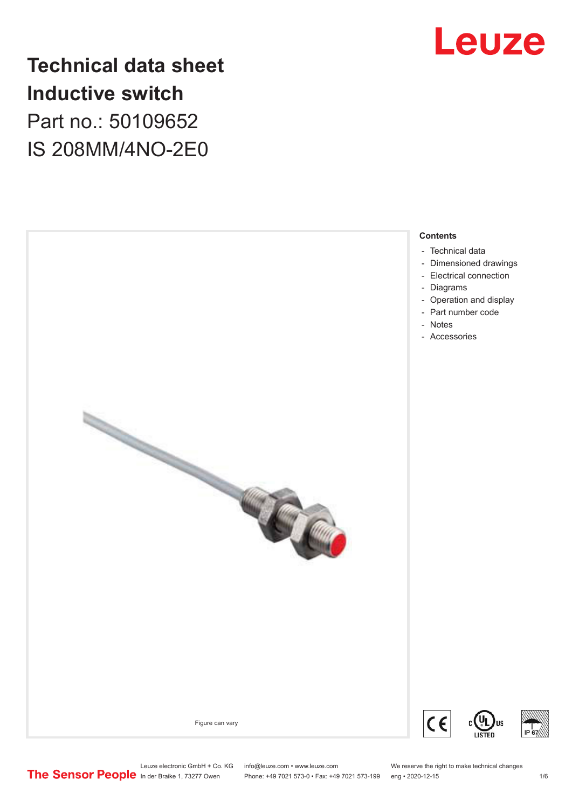

# **Technical data sheet Inductive switch** Part no.: 50109652 IS 208MM/4NO-2E0

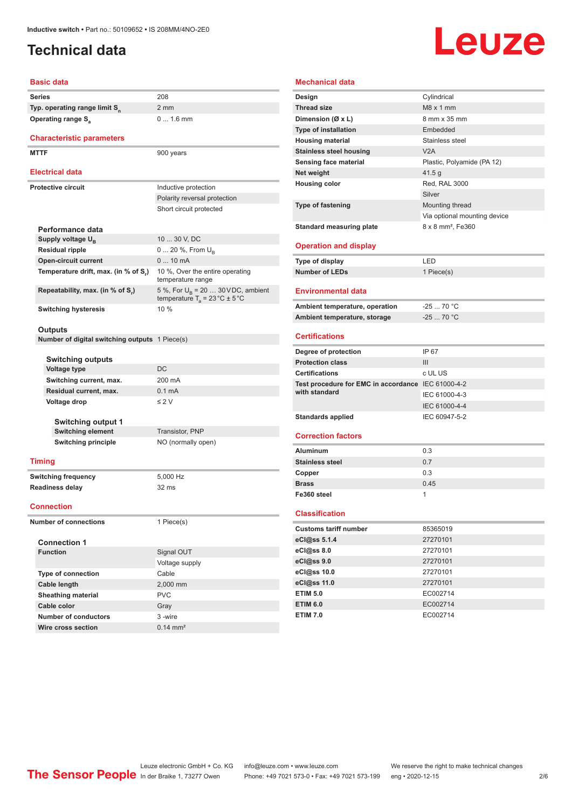# <span id="page-1-0"></span>**Technical data**

# Leuze

### **Basic data**

| <b>Series</b>                             | 208 |
|-------------------------------------------|-----|
| Typ. operating range limit S <sub>n</sub> | 2 m |
| Operating range S <sub>2</sub>            |     |

### **Characteristic parameters**

MTTF 900 years

### **Electrical data**

| <b>Electrical data</b>                                                                         |  |  |  |  |
|------------------------------------------------------------------------------------------------|--|--|--|--|
| Inductive protection                                                                           |  |  |  |  |
| Polarity reversal protection                                                                   |  |  |  |  |
| Short circuit protected                                                                        |  |  |  |  |
|                                                                                                |  |  |  |  |
|                                                                                                |  |  |  |  |
| 10  30 V. DC                                                                                   |  |  |  |  |
| $0 20 \%$ , From $U_{p}$                                                                       |  |  |  |  |
| $010$ mA                                                                                       |  |  |  |  |
| 10 %, Over the entire operating<br>temperature range                                           |  |  |  |  |
| 5 %, For $U_{\rm B}$ = 20  30 VDC, ambient<br>temperature $T_a = 23 \degree C \pm 5 \degree C$ |  |  |  |  |
| 10%                                                                                            |  |  |  |  |
|                                                                                                |  |  |  |  |

2 mm

0 ... 1.6 mm

### **Outputs**

**Number of digital switching outputs** 1 Piece(s)

| <b>Switching outputs</b>  |                    |
|---------------------------|--------------------|
| Voltage type              | DC.                |
| Switching current, max.   | 200 mA             |
| Residual current, max.    | $0.1 \text{ mA}$   |
| Voltage drop              | $\leq$ 2 V         |
|                           |                    |
| <b>Switching output 1</b> |                    |
| <b>Switching element</b>  | Transistor, PNP    |
| Switching principle       | NO (normally open) |
|                           |                    |

### **Timing**

**Switching frequency** 5,000 Hz **Readiness delay** 32 ms

**Connection**

**Number of connections** 1 Piece(s)

| <b>Connection 1</b>       |                     |
|---------------------------|---------------------|
| <b>Function</b>           | Signal OUT          |
|                           | Voltage supply      |
| <b>Type of connection</b> | Cable               |
| Cable length              | 2,000 mm            |
| <b>Sheathing material</b> | <b>PVC</b>          |
| Cable color               | Gray                |
| Number of conductors      | 3-wire              |
| Wire cross section        | $0.14 \text{ mm}^2$ |

### **Mechanical data Design** Cylindrical

| <b>Thread size</b>                                 | $M8 \times 1$ mm              |
|----------------------------------------------------|-------------------------------|
| Dimension (Ø x L)                                  | 8 mm x 35 mm                  |
| <b>Type of installation</b>                        | Embedded                      |
| <b>Housing material</b>                            | Stainless steel               |
| <b>Stainless steel housing</b>                     | V2A                           |
| Sensing face material                              | Plastic, Polyamide (PA 12)    |
| Net weight                                         | 41.5 g                        |
| <b>Housing color</b>                               | Red, RAL 3000                 |
|                                                    | Silver                        |
| <b>Type of fastening</b>                           | Mounting thread               |
|                                                    | Via optional mounting device  |
|                                                    |                               |
| <b>Standard measuring plate</b>                    | 8 x 8 mm <sup>2</sup> , Fe360 |
| <b>Operation and display</b>                       |                               |
|                                                    |                               |
| Type of display                                    | LED                           |
| <b>Number of LEDs</b>                              | 1 Piece(s)                    |
|                                                    |                               |
| <b>Environmental data</b>                          |                               |
| Ambient temperature, operation                     | $-2570 °C$                    |
| Ambient temperature, storage                       | $-2570 °C$                    |
|                                                    |                               |
| <b>Certifications</b>                              |                               |
| Degree of protection                               | IP 67                         |
| <b>Protection class</b>                            | III                           |
| <b>Certifications</b>                              | c UL US                       |
| Test procedure for EMC in accordance IEC 61000-4-2 |                               |
| with standard                                      | IEC 61000-4-3                 |
|                                                    | IEC 61000-4-4                 |
| <b>Standards applied</b>                           | IEC 60947-5-2                 |
|                                                    |                               |
| <b>Correction factors</b>                          |                               |
|                                                    |                               |
| <b>Aluminum</b>                                    | 0.3                           |
| <b>Stainless steel</b>                             | 0.7                           |
| Copper                                             | 0.3                           |
| <b>Brass</b>                                       | 0.45                          |
| Fe360 steel                                        | 1                             |
|                                                    |                               |
| <b>Classification</b>                              |                               |
| <b>Customs tariff number</b>                       | 85365019                      |
| eCl@ss 5.1.4                                       | 27270101                      |
| eCl@ss 8.0                                         | 27270101                      |
| eCl@ss 9.0                                         | 27270101                      |
| eCl@ss 10.0                                        | 27270101                      |
| eCl@ss 11.0                                        | 27270101                      |
| <b>ETIM 5.0</b>                                    | EC002714                      |
| <b>ETIM 6.0</b>                                    | EC002714                      |
|                                                    |                               |
| <b>ETIM 7.0</b>                                    | EC002714                      |

Leuze electronic GmbH + Co. KG info@leuze.com • www.leuze.com We reserve the right to make technical changes<br>
The Sensor People in der Braike 1, 73277 Owen Phone: +49 7021 573-0 • Fax: +49 7021 573-199 eng • 2020-12-15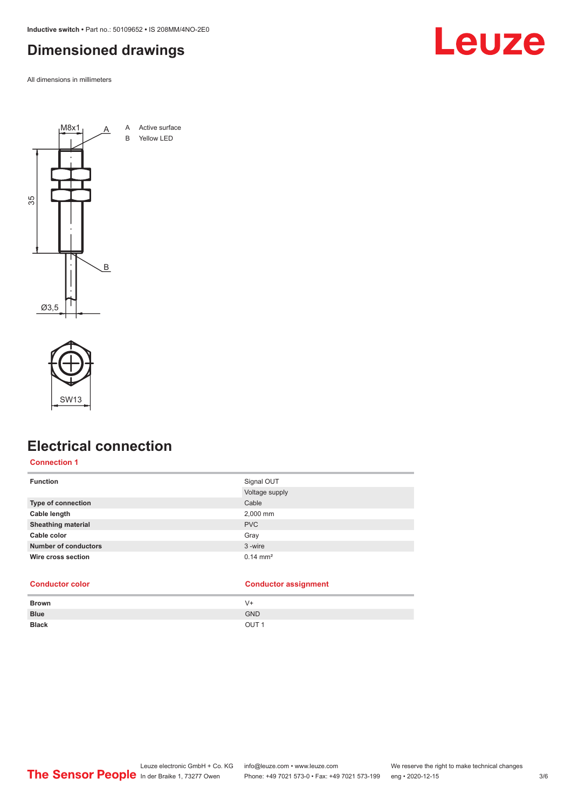<span id="page-2-0"></span>**Inductive switch •** Part no.: 50109652 **•** IS 208MM/4NO-2E0

# **Dimensioned drawings**

All dimensions in millimeters





# **Electrical connection**

### **Connection 1**

| <b>Function</b>             | Signal OUT<br>Voltage supply |
|-----------------------------|------------------------------|
| Type of connection          | Cable                        |
| Cable length                | 2,000 mm                     |
| <b>Sheathing material</b>   | <b>PVC</b>                   |
| Cable color                 | Gray                         |
| <b>Number of conductors</b> | 3-wire                       |
| Wire cross section          | $0.14 \text{ mm}^2$          |

| <b>Conductor color</b> | <b>Conductor assignment</b> |
|------------------------|-----------------------------|
|------------------------|-----------------------------|

| <b>Brown</b> | $V +$            |
|--------------|------------------|
| <b>Blue</b>  | <b>GND</b>       |
| <b>Black</b> | OUT <sub>1</sub> |

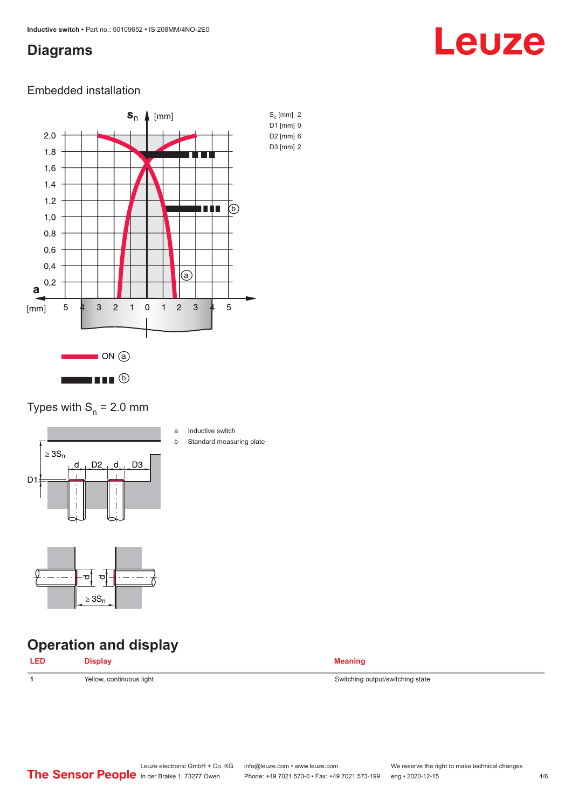## <span id="page-3-0"></span>**Diagrams**

# Leuze

### Embedded installation



### Types with  $S_n = 2.0$  mm



- a Inductive switch
- b Standard measuring plate



# **Operation and display**

| - I FL |                          |                                  |
|--------|--------------------------|----------------------------------|
|        | Yellow, continuous light | Switching output/switching state |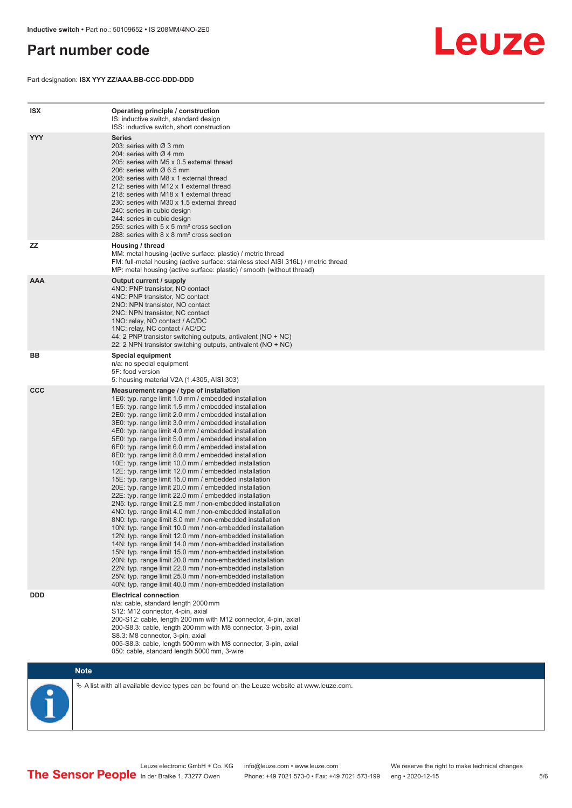# <span id="page-4-0"></span>**Part number code**

Part designation: **ISX YYY ZZ/AAA.BB-CCC-DDD-DDD**



| <b>ISX</b> | Operating principle / construction<br>IS: inductive switch, standard design<br>ISS: inductive switch, short construction                                                                                                                                                                                                                                                                                                                                                                                                                                                                                                                                                                                                                                                                                                                                                                                                                                                                                                                                                                                                                                                                                                                                                                                                                                                                                                                                                                          |
|------------|---------------------------------------------------------------------------------------------------------------------------------------------------------------------------------------------------------------------------------------------------------------------------------------------------------------------------------------------------------------------------------------------------------------------------------------------------------------------------------------------------------------------------------------------------------------------------------------------------------------------------------------------------------------------------------------------------------------------------------------------------------------------------------------------------------------------------------------------------------------------------------------------------------------------------------------------------------------------------------------------------------------------------------------------------------------------------------------------------------------------------------------------------------------------------------------------------------------------------------------------------------------------------------------------------------------------------------------------------------------------------------------------------------------------------------------------------------------------------------------------------|
| <b>YYY</b> | <b>Series</b><br>203: series with $\varnothing$ 3 mm<br>204: series with $\varnothing$ 4 mm<br>205: series with M5 x 0.5 external thread<br>206: series with $\varnothing$ 6.5 mm<br>208: series with M8 x 1 external thread<br>212: series with M12 x 1 external thread<br>218: series with M18 x 1 external thread<br>230: series with M30 x 1.5 external thread<br>240: series in cubic design<br>244: series in cubic design<br>255: series with 5 x 5 mm <sup>2</sup> cross section<br>288: series with 8 x 8 mm <sup>2</sup> cross section                                                                                                                                                                                                                                                                                                                                                                                                                                                                                                                                                                                                                                                                                                                                                                                                                                                                                                                                                  |
| <b>ZZ</b>  | Housing / thread<br>MM: metal housing (active surface: plastic) / metric thread<br>FM: full-metal housing (active surface: stainless steel AISI 316L) / metric thread<br>MP: metal housing (active surface: plastic) / smooth (without thread)                                                                                                                                                                                                                                                                                                                                                                                                                                                                                                                                                                                                                                                                                                                                                                                                                                                                                                                                                                                                                                                                                                                                                                                                                                                    |
| <b>AAA</b> | Output current / supply<br>4NO: PNP transistor, NO contact<br>4NC: PNP transistor, NC contact<br>2NO: NPN transistor, NO contact<br>2NC: NPN transistor, NC contact<br>1NO: relay, NO contact / AC/DC<br>1NC: relay, NC contact / AC/DC<br>44: 2 PNP transistor switching outputs, antivalent (NO + NC)<br>22: 2 NPN transistor switching outputs, antivalent (NO + NC)                                                                                                                                                                                                                                                                                                                                                                                                                                                                                                                                                                                                                                                                                                                                                                                                                                                                                                                                                                                                                                                                                                                           |
| ВB         | Special equipment<br>n/a: no special equipment<br>5F: food version<br>5: housing material V2A (1.4305, AISI 303)                                                                                                                                                                                                                                                                                                                                                                                                                                                                                                                                                                                                                                                                                                                                                                                                                                                                                                                                                                                                                                                                                                                                                                                                                                                                                                                                                                                  |
| <b>CCC</b> | Measurement range / type of installation<br>1E0: typ. range limit 1.0 mm / embedded installation<br>1E5: typ. range limit 1.5 mm / embedded installation<br>2E0: typ. range limit 2.0 mm / embedded installation<br>3E0: typ. range limit 3.0 mm / embedded installation<br>4E0: typ. range limit 4.0 mm / embedded installation<br>5E0: typ. range limit 5.0 mm / embedded installation<br>6E0: typ. range limit 6.0 mm / embedded installation<br>8E0: typ. range limit 8.0 mm / embedded installation<br>10E: typ. range limit 10.0 mm / embedded installation<br>12E: typ. range limit 12.0 mm / embedded installation<br>15E: typ. range limit 15.0 mm / embedded installation<br>20E: typ. range limit 20.0 mm / embedded installation<br>22E: typ. range limit 22.0 mm / embedded installation<br>2N5: typ. range limit 2.5 mm / non-embedded installation<br>4N0: typ. range limit 4.0 mm / non-embedded installation<br>8N0: typ. range limit 8.0 mm / non-embedded installation<br>10N: typ. range limit 10.0 mm / non-embedded installation<br>12N: typ. range limit 12.0 mm / non-embedded installation<br>14N: typ. range limit 14.0 mm / non-embedded installation<br>15N: typ. range limit 15.0 mm / non-embedded installation<br>20N: typ. range limit 20.0 mm / non-embedded installation<br>22N: typ. range limit 22.0 mm / non-embedded installation<br>25N: typ. range limit 25.0 mm / non-embedded installation<br>40N: typ. range limit 40.0 mm / non-embedded installation |
| <b>DDD</b> | <b>Electrical connection</b><br>n/a: cable, standard length 2000 mm<br>S12: M12 connector, 4-pin, axial<br>200-S12: cable, length 200 mm with M12 connector, 4-pin, axial<br>200-S8.3: cable, length 200 mm with M8 connector, 3-pin, axial<br>S8.3: M8 connector, 3-pin, axial<br>005-S8.3: cable, length 500 mm with M8 connector, 3-pin, axial<br>050: cable, standard length 5000 mm, 3-wire                                                                                                                                                                                                                                                                                                                                                                                                                                                                                                                                                                                                                                                                                                                                                                                                                                                                                                                                                                                                                                                                                                  |

**Note**

 $\%$  A list with all available device types can be found on the Leuze website at www.leuze.com.

Leuze electronic GmbH + Co. KG info@leuze.com • www.leuze.com We reserve the right to make technical changes In der Braike 1, 73277 Owen Phone: +49 7021 573-0 • Fax: +49 7021 573-199 eng • 2020-12-15